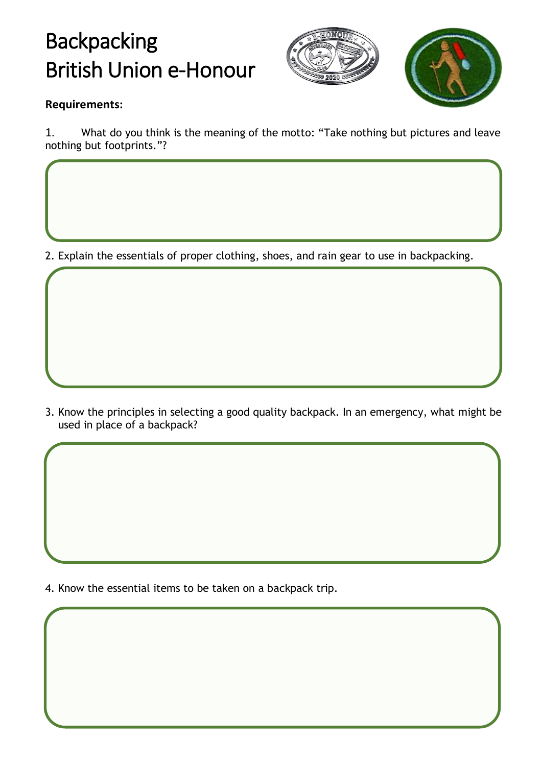## Backpacking British Union e-Honour





## **Requirements:**

1. What do you think is the meaning of the motto: "Take nothing but pictures and leave nothing but footprints."?

2. Explain the essentials of proper clothing, shoes, and rain gear to use in backpacking.

3. Know the principles in selecting a good quality backpack. In an emergency, what might be used in place of a backpack?

4. Know the essential items to be taken on a backpack trip.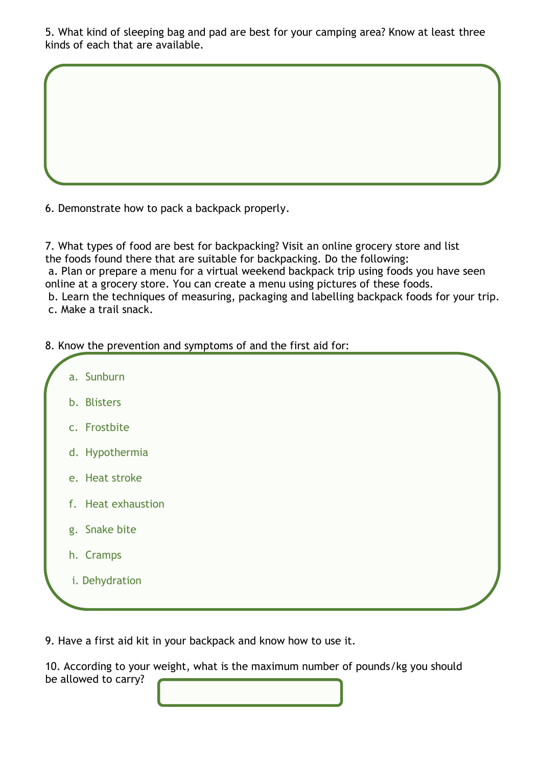5. What kind of sleeping bag and pad are best for your camping area? Know at least three kinds of each that are available.

6. Demonstrate how to pack a backpack properly.

7. What types of food are best for backpacking? Visit an online grocery store and list the foods found there that are suitable for backpacking. Do the following: a. Plan or prepare a menu for a virtual weekend backpack trip using foods you have seen online at a grocery store. You can create a menu using pictures of these foods. b. Learn the techniques of measuring, packaging and labelling backpack foods for your trip. c. Make a trail snack.

8. Know the prevention and symptoms of and the first aid for:



9. Have a first aid kit in your backpack and know how to use it.

10. According to your weight, what is the maximum number of pounds/kg you should be allowed to carry?